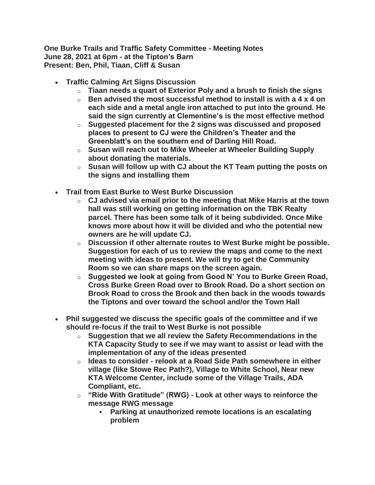**One Burke Trails and Traffic Safety Committee - Meeting Notes June 28, 2021 at 6pm - at the Tipton's Barn Present: Ben, Phil, Tiaan, Cliff & Susan**

- **Traffic Calming Art Signs Discussion**
	- o **Tiaan needs a quart of Exterior Poly and a brush to finish the signs**
	- o **Ben advised the most successful method to install is with a 4 x 4 on each side and a metal angle iron attached to put into the ground. He said the sign currently at Clementine's is the most effective method**
	- o **Suggested placement for the 2 signs was discussed and proposed places to present to CJ were the Children's Theater and the Greenblatt's on the southern end of Darling Hill Road.**
	- o **Susan will reach out to Mike Wheeler at Wheeler Building Supply about donating the materials.**
	- o **Susan will follow up with CJ about the KT Team putting the posts on the signs and installing them**
- **Trail from East Burke to West Burke Discussion**
	- o **CJ advised via email prior to the meeting that Mike Harris at the town hall was still working on getting information on the TBK Realty parcel. There has been some talk of it being subdivided. Once Mike knows more about how it will be divided and who the potential new owners are he will update CJ.**
	- o **Discussion if other alternate routes to West Burke might be possible. Suggestion for each of us to review the maps and come to the next meeting with ideas to present. We will try to get the Community Room so we can share maps on the screen again.**
	- o **Suggested we look at going from Good N' You to Burke Green Road, Cross Burke Green Road over to Brook Road. Do a short section on Brook Road to cross the Brook and then back in the woods towards the Tiptons and over toward the school and/or the Town Hall**
- **Phil suggested we discuss the specific goals of the committee and if we should re-focus if the trail to West Burke is not possible**
	- o **Suggestion that we all review the Safety Recommendations in the KTA Capacity Study to see if we may want to assist or lead with the implementation of any of the ideas presented**
	- o **Ideas to consider - relook at a Road Side Path somewhere in either village (like Stowe Rec Path?), Village to White School, Near new KTA Welcome Center, include some of the Village Trails, ADA Compliant, etc.**
	- o **"Ride With Gratitude" (RWG) - Look at other ways to reinforce the message RWG message**
		- **Parking at unauthorized remote locations is an escalating problem**